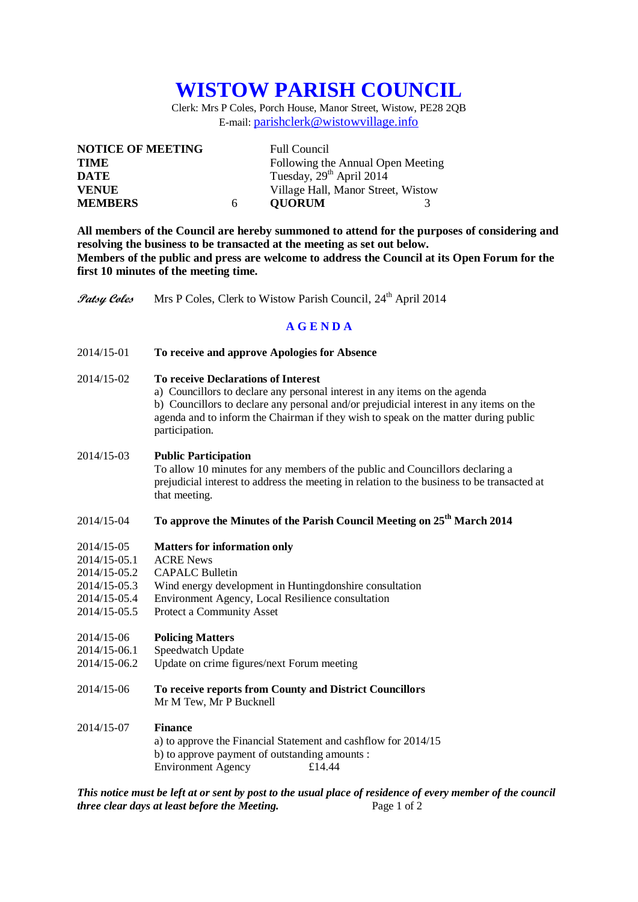# **WISTOW PARISH COUNCIL**

Clerk: Mrs P Coles, Porch House, Manor Street, Wistow, PE28 2QB E-mail: [parishclerk@wistowvillage.info](mailto:parishclerk@wistowvillage.info)

| <b>NOTICE OF MEETING</b> |   | <b>Full Council</b>                  |  |
|--------------------------|---|--------------------------------------|--|
| <b>TIME</b>              |   | Following the Annual Open Meeting    |  |
| DATE                     |   | Tuesday, 29 <sup>th</sup> April 2014 |  |
| <b>VENUE</b>             |   | Village Hall, Manor Street, Wistow   |  |
| <b>MEMBERS</b>           | 6 | <b>OUORUM</b>                        |  |

**All members of the Council are hereby summoned to attend for the purposes of considering and resolving the business to be transacted at the meeting as set out below. Members of the public and press are welcome to address the Council at its Open Forum for the first 10 minutes of the meeting time.**

**Patsy Coles** Mrs P Coles, Clerk to Wistow Parish Council, 24<sup>th</sup> April 2014

# **A G E N D A**

- 2014/15-01 **To receive and approve Apologies for Absence**
- 2014/15-02 **To receive Declarations of Interest**
	- a) Councillors to declare any personal interest in any items on the agenda b) Councillors to declare any personal and/or prejudicial interest in any items on the agenda and to inform the Chairman if they wish to speak on the matter during public participation.

## 2014/15-03 **Public Participation**

To allow 10 minutes for any members of the public and Councillors declaring a prejudicial interest to address the meeting in relation to the business to be transacted at that meeting.

# 2014/15-04 **To approve the Minutes of the Parish Council Meeting on 25th March 2014**

#### 2014/15-05 **Matters for information only**

- 2014/15-05.1 ACRE News
- 2014/15-05.2 CAPALC Bulletin
- 2014/15-05.3 Wind energy development in Huntingdonshire consultation
- 2014/15-05.4 Environment Agency, Local Resilience consultation
- 2014/15-05.5 Protect a Community Asset

# 2014/15-06 **Policing Matters**

- 2014/15-06.1 Speedwatch Update<br>2014/15-06.2 Update on crime figu
- Update on crime figures/next Forum meeting
- 2014/15-06 **To receive reports from County and District Councillors** Mr M Tew, Mr P Bucknell

# 2014/15-07 **Finance**

a) to approve the Financial Statement and cashflow for 2014/15 b) to approve payment of outstanding amounts : Environment Agency £14.44

*This notice must be left at or sent by post to the usual place of residence of every member of the council three clear days at least before the Meeting.* Page 1 of 2